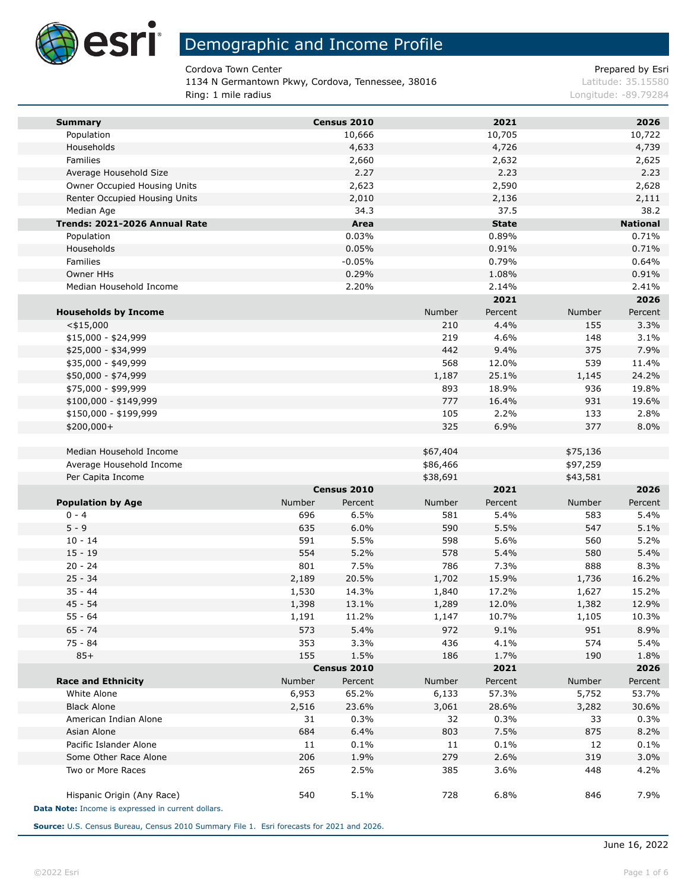

Cordova Town Center **Prepared by Esri** Prepared by Esri

1134 N Germantown Pkwy, Cordova, Tennessee, 38016 Latitude: 35.15580 Ring: 1 mile radius Longitude: -89.79284

| <b>Summary</b>                                     |             | Census 2010    |            | 2021            |            | 2026            |
|----------------------------------------------------|-------------|----------------|------------|-----------------|------------|-----------------|
| Population                                         |             | 10,666         |            | 10,705          |            | 10,722          |
| Households                                         |             | 4,633          |            | 4,726           |            | 4,739           |
| Families                                           |             | 2,660          |            | 2,632           |            | 2,625           |
| Average Household Size                             |             | 2.27           |            | 2.23            |            | 2.23            |
| Owner Occupied Housing Units                       |             | 2,623          |            | 2,590           |            | 2,628           |
| Renter Occupied Housing Units                      |             | 2,010          |            | 2,136           |            | 2,111           |
| Median Age                                         |             | 34.3           |            | 37.5            |            | 38.2            |
| Trends: 2021-2026 Annual Rate                      |             | Area           |            | <b>State</b>    |            | <b>National</b> |
| Population                                         |             | 0.03%          |            | 0.89%           |            | 0.71%           |
| Households                                         |             | 0.05%          |            | 0.91%           |            | 0.71%           |
| Families                                           |             | $-0.05%$       |            | 0.79%           |            | 0.64%           |
| Owner HHs                                          |             | 0.29%          |            | 1.08%           |            | 0.91%           |
| Median Household Income                            |             | 2.20%          |            | 2.14%           |            | 2.41%           |
|                                                    |             |                |            | 2021            |            | 2026            |
| <b>Households by Income</b>                        |             |                | Number     | Percent<br>4.4% | Number     | Percent         |
| $<$ \$15,000<br>$$15,000 - $24,999$                |             |                | 210<br>219 | 4.6%            | 155<br>148 | 3.3%<br>3.1%    |
| \$25,000 - \$34,999                                |             |                | 442        | 9.4%            | 375        | 7.9%            |
| \$35,000 - \$49,999                                |             |                | 568        | 12.0%           | 539        | 11.4%           |
| \$50,000 - \$74,999                                |             |                | 1,187      | 25.1%           | 1,145      | 24.2%           |
| \$75,000 - \$99,999                                |             |                | 893        | 18.9%           | 936        | 19.8%           |
| $$100,000 - $149,999$                              |             |                | 777        | 16.4%           | 931        | 19.6%           |
| \$150,000 - \$199,999                              |             |                | 105        | 2.2%            | 133        | 2.8%            |
| \$200,000+                                         |             |                | 325        | 6.9%            | 377        | 8.0%            |
|                                                    |             |                |            |                 |            |                 |
| Median Household Income                            |             |                | \$67,404   |                 | \$75,136   |                 |
| Average Household Income                           |             |                | \$86,466   |                 | \$97,259   |                 |
| Per Capita Income                                  |             |                | \$38,691   |                 | \$43,581   |                 |
|                                                    |             | Census 2010    |            | 2021            |            | 2026            |
| <b>Population by Age</b>                           | Number      | Percent        | Number     | Percent         | Number     | Percent         |
| $0 - 4$                                            | 696         | 6.5%           | 581        | 5.4%            | 583        | 5.4%            |
| $5 - 9$                                            | 635         | 6.0%           | 590        | 5.5%            | 547        | 5.1%            |
| $10 - 14$                                          | 591         | 5.5%           | 598        | 5.6%            | 560        | 5.2%            |
| $15 - 19$                                          | 554         | 5.2%           | 578        | 5.4%            | 580        | 5.4%            |
| $20 - 24$                                          | 801         | 7.5%           | 786        | 7.3%            | 888        | 8.3%            |
| $25 - 34$                                          | 2,189       | 20.5%          | 1,702      | 15.9%           | 1,736      | 16.2%           |
| $35 - 44$                                          | 1,530       | 14.3%          | 1,840      | 17.2%           | 1,627      | 15.2%           |
| $45 - 54$                                          | 1,398       | 13.1%          | 1,289      | 12.0%           | 1,382      | 12.9%           |
| 55 - 64                                            | 1,191       | 11.2%          | 1,147      | 10.7%           | 1,105      | 10.3%           |
| 65 - 74                                            | 573         | 5.4%           | 972        | 9.1%            | 951        | 8.9%            |
| 75 - 84                                            | 353         | 3.3%           | 436        | 4.1%            | 574        | 5.4%            |
| $85+$                                              | 155         | 1.5%           | 186        | 1.7%            | 190        | 1.8%            |
|                                                    |             | Census 2010    |            | 2021            |            | 2026            |
| <b>Race and Ethnicity</b>                          | Number      | Percent        | Number     | Percent         | Number     | Percent         |
| White Alone                                        | 6,953       | 65.2%<br>23.6% | 6,133      | 57.3%           | 5,752      | 53.7%           |
| <b>Black Alone</b><br>American Indian Alone        | 2,516<br>31 | 0.3%           | 3,061      | 28.6%<br>0.3%   | 3,282      | 30.6%           |
| Asian Alone                                        | 684         | 6.4%           | 32         | 7.5%            | 33<br>875  | 0.3%<br>8.2%    |
| Pacific Islander Alone                             |             | 0.1%           | 803        | 0.1%            |            | 0.1%            |
| Some Other Race Alone                              | 11<br>206   | 1.9%           | 11<br>279  | 2.6%            | 12<br>319  | 3.0%            |
| Two or More Races                                  | 265         | 2.5%           | 385        | 3.6%            | 448        | 4.2%            |
|                                                    |             |                |            |                 |            |                 |
| Hispanic Origin (Any Race)                         | 540         | 5.1%           | 728        | 6.8%            | 846        | 7.9%            |
| Data Note: Income is expressed in current dollars. |             |                |            |                 |            |                 |

**Source:** U.S. Census Bureau, Census 2010 Summary File 1. Esri forecasts for 2021 and 2026.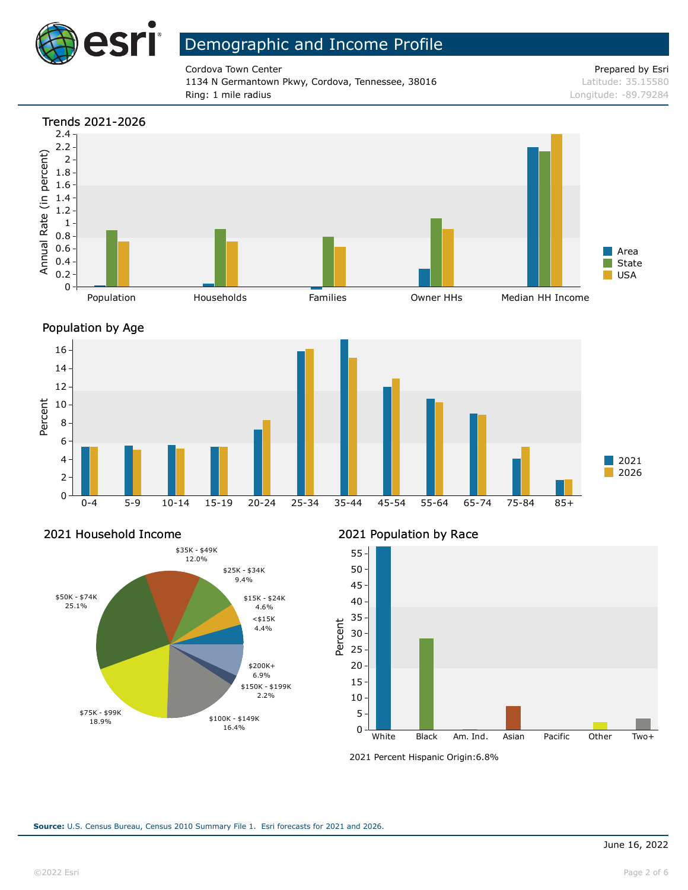

Cordova Town Center **Prepared by Esri** Prepared by Esri 1134 N Germantown Pkwy, Cordova, Tennessee, 38016 Latitude: 35.15580 Ring: 1 mile radius Longitude: -89.79284







#### 2021 Household Income



2021 Population by Race



<sup>2021</sup> Percent Hispanic Origin: 6.8%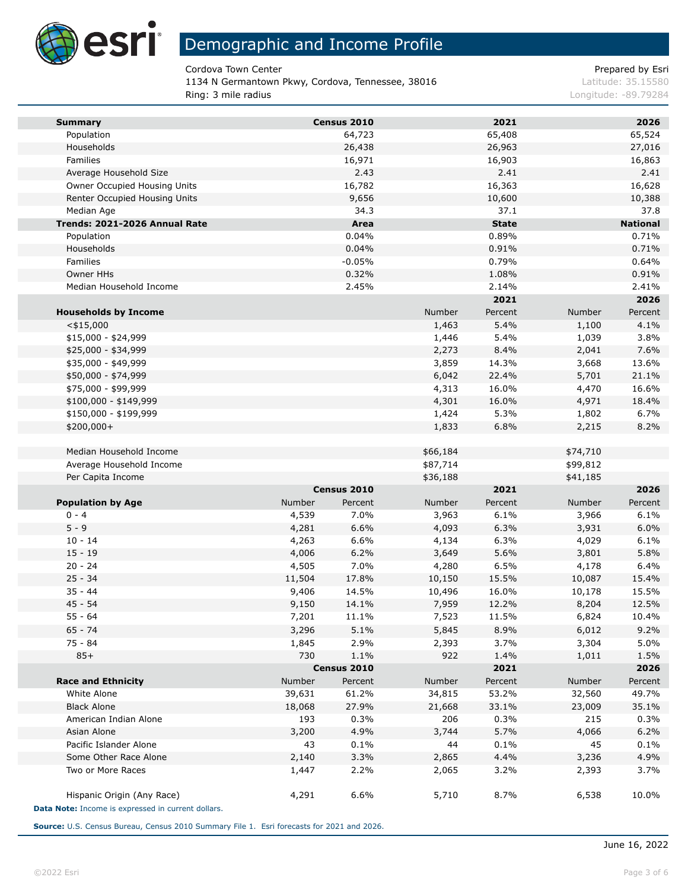

Cordova Town Center **Prepared by Esri** Prepared by Esri

1134 N Germantown Pkwy, Cordova, Tennessee, 38016 Latitude: 35.15580 Ring: 3 mile radius Longitude: -89.79284

| <b>Summary</b>                                     |        | Census 2010 |          | 2021         |          | 2026            |
|----------------------------------------------------|--------|-------------|----------|--------------|----------|-----------------|
| Population                                         |        | 64,723      |          | 65,408       |          | 65,524          |
| Households                                         |        | 26,438      |          | 26,963       |          | 27,016          |
| Families                                           |        | 16,971      |          | 16,903       |          | 16,863          |
| Average Household Size                             |        | 2.43        |          | 2.41         |          | 2.41            |
| Owner Occupied Housing Units                       |        | 16,782      |          | 16,363       |          | 16,628          |
| Renter Occupied Housing Units                      |        | 9,656       |          | 10,600       |          | 10,388          |
| Median Age                                         |        | 34.3        |          | 37.1         |          | 37.8            |
| Trends: 2021-2026 Annual Rate                      |        | Area        |          | <b>State</b> |          | <b>National</b> |
| Population                                         |        | 0.04%       |          | 0.89%        |          | 0.71%           |
| Households                                         |        | 0.04%       |          | 0.91%        |          | 0.71%           |
| <b>Families</b>                                    |        | $-0.05%$    |          | 0.79%        |          | 0.64%           |
| Owner HHs                                          |        | 0.32%       |          | 1.08%        |          | 0.91%           |
| Median Household Income                            |        | 2.45%       |          | 2.14%        |          | 2.41%           |
|                                                    |        |             |          | 2021         |          | 2026            |
| <b>Households by Income</b>                        |        |             | Number   | Percent      | Number   | Percent         |
| $<$ \$15,000                                       |        |             | 1,463    | 5.4%         | 1,100    | 4.1%            |
| $$15,000 - $24,999$                                |        |             | 1,446    | 5.4%         | 1,039    | 3.8%            |
| \$25,000 - \$34,999                                |        |             | 2,273    | 8.4%         | 2,041    | 7.6%            |
| \$35,000 - \$49,999                                |        |             | 3,859    | 14.3%        | 3,668    | 13.6%           |
| \$50,000 - \$74,999                                |        |             | 6,042    | 22.4%        | 5,701    | 21.1%           |
| \$75,000 - \$99,999                                |        |             | 4,313    | 16.0%        | 4,470    | 16.6%           |
| \$100,000 - \$149,999                              |        |             | 4,301    | 16.0%        | 4,971    | 18.4%           |
| \$150,000 - \$199,999                              |        |             | 1,424    | 5.3%         | 1,802    | 6.7%            |
| \$200,000+                                         |        |             | 1,833    | 6.8%         | 2,215    | 8.2%            |
|                                                    |        |             |          |              |          |                 |
| Median Household Income                            |        |             | \$66,184 |              | \$74,710 |                 |
| Average Household Income                           |        |             | \$87,714 |              | \$99,812 |                 |
| Per Capita Income                                  |        |             | \$36,188 |              | \$41,185 |                 |
|                                                    |        | Census 2010 |          | 2021         |          | 2026            |
| <b>Population by Age</b>                           | Number | Percent     | Number   | Percent      | Number   | Percent         |
| $0 - 4$                                            | 4,539  | 7.0%        | 3,963    | 6.1%         | 3,966    | 6.1%            |
| $5 - 9$                                            | 4,281  | 6.6%        | 4,093    | 6.3%         | 3,931    | 6.0%            |
| $10 - 14$                                          | 4,263  | 6.6%        | 4,134    | 6.3%         | 4,029    | 6.1%            |
| $15 - 19$                                          | 4,006  | 6.2%        | 3,649    | 5.6%         | 3,801    | 5.8%            |
| $20 - 24$                                          | 4,505  | 7.0%        | 4,280    | 6.5%         | 4,178    | 6.4%            |
| $25 - 34$                                          | 11,504 | 17.8%       | 10,150   | 15.5%        | 10,087   | 15.4%           |
| $35 - 44$                                          | 9,406  | 14.5%       | 10,496   | 16.0%        | 10,178   | 15.5%           |
| $45 - 54$                                          | 9,150  | 14.1%       | 7,959    | 12.2%        | 8,204    | 12.5%           |
| $55 - 64$                                          | 7,201  | 11.1%       | 7,523    | 11.5%        | 6,824    | 10.4%           |
| 65 - 74                                            | 3,296  | 5.1%        | 5,845    | 8.9%         | 6,012    | 9.2%            |
| 75 - 84                                            | 1,845  | 2.9%        | 2,393    | 3.7%         | 3,304    | 5.0%            |
| $85+$                                              | 730    | 1.1%        | 922      | 1.4%         | 1,011    | 1.5%            |
|                                                    |        | Census 2010 |          | 2021         |          | 2026            |
| <b>Race and Ethnicity</b>                          | Number | Percent     | Number   | Percent      | Number   | Percent         |
| White Alone                                        | 39,631 | 61.2%       | 34,815   | 53.2%        | 32,560   | 49.7%           |
| <b>Black Alone</b>                                 | 18,068 | 27.9%       | 21,668   | 33.1%        | 23,009   | 35.1%           |
| American Indian Alone                              | 193    | 0.3%        | 206      | 0.3%         | 215      | 0.3%            |
| Asian Alone                                        | 3,200  | 4.9%        | 3,744    | 5.7%         | 4,066    | 6.2%            |
| Pacific Islander Alone                             | 43     | 0.1%        | 44       | 0.1%         | 45       | 0.1%            |
| Some Other Race Alone                              | 2,140  | 3.3%        | 2,865    | 4.4%         | 3,236    | 4.9%            |
| Two or More Races                                  | 1,447  | 2.2%        | 2,065    | 3.2%         | 2,393    | 3.7%            |
| Hispanic Origin (Any Race)                         | 4,291  | 6.6%        | 5,710    | 8.7%         | 6,538    | 10.0%           |
| Data Note: Income is expressed in current dollars. |        |             |          |              |          |                 |

**Source:** U.S. Census Bureau, Census 2010 Summary File 1. Esri forecasts for 2021 and 2026.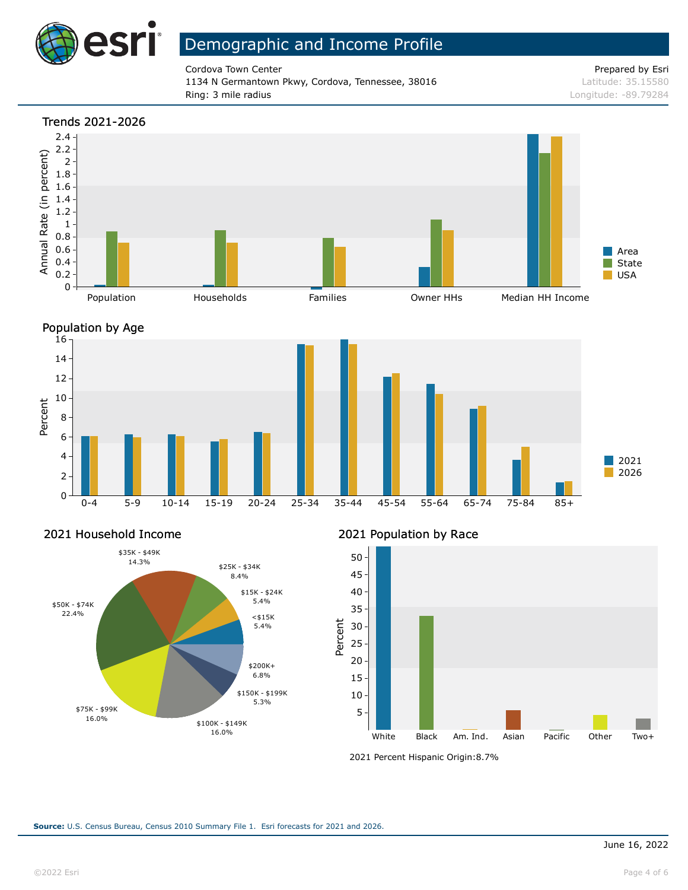

Cordova Town Center **Prepared by Esri** Prepared by Esri 1134 N Germantown Pkwy, Cordova, Tennessee, 38016 Latitude: 35.15580 Ring: 3 mile radius Longitude: -89.79284







#### 2021 Household Income



2021 Population by Race



<sup>2021</sup> Percent Hispanic Origin: 8.7%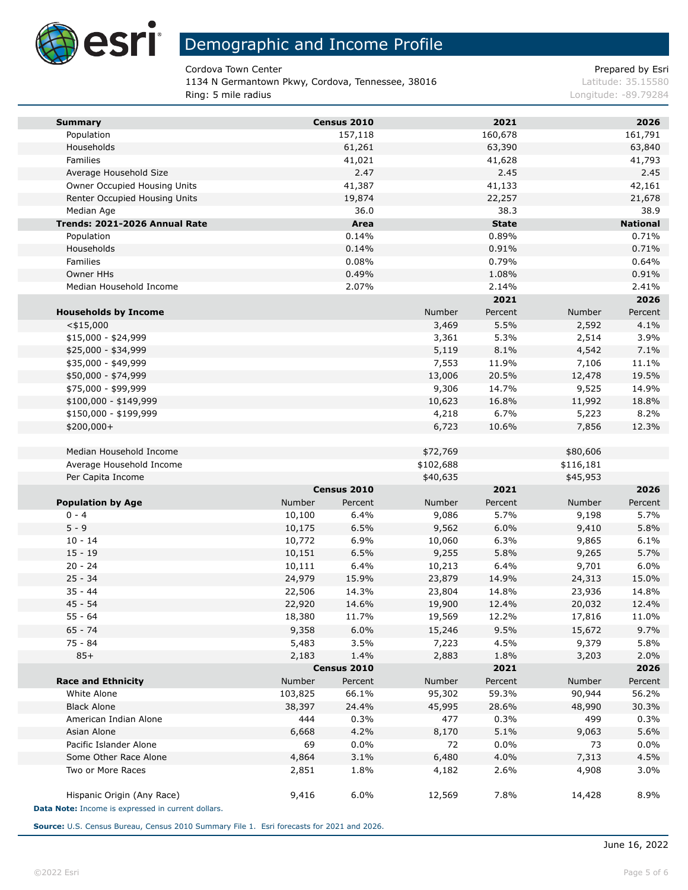

Cordova Town Center **Prepared by Esri** Prepared by Esri

1134 N Germantown Pkwy, Cordova, Tennessee, 38016 Latitude: 35.15580 Ring: 5 mile radius Longitude: -89.79284

| <b>Summary</b>                                     |         | Census 2010      |           | 2021             |                 | 2026             |
|----------------------------------------------------|---------|------------------|-----------|------------------|-----------------|------------------|
| Population                                         |         | 157,118          |           | 160,678          |                 | 161,791          |
| Households                                         |         | 61,261           |           | 63,390           |                 | 63,840           |
| Families                                           |         | 41,021           |           | 41,628           |                 | 41,793           |
| Average Household Size                             |         | 2.47             |           | 2.45             |                 | 2.45             |
| Owner Occupied Housing Units                       |         | 41,387           |           | 41,133           |                 | 42,161           |
| Renter Occupied Housing Units                      |         | 19,874           |           | 22,257           |                 | 21,678           |
| Median Age                                         |         | 36.0             |           | 38.3             |                 | 38.9             |
| Trends: 2021-2026 Annual Rate                      |         | Area             |           | <b>State</b>     |                 | <b>National</b>  |
| Population                                         |         | 0.14%            |           | 0.89%            |                 | 0.71%            |
| Households                                         |         | 0.14%            |           | 0.91%            |                 | 0.71%            |
| Families                                           |         | 0.08%            |           | 0.79%            |                 | 0.64%            |
| Owner HHs<br>Median Household Income               |         | 0.49%            |           | 1.08%            |                 | 0.91%            |
|                                                    |         | 2.07%            |           | 2.14%<br>2021    |                 | 2.41%<br>2026    |
|                                                    |         |                  | Number    | Percent          |                 | Percent          |
| <b>Households by Income</b><br>$<$ \$15,000        |         |                  | 3,469     | 5.5%             | Number<br>2,592 | 4.1%             |
| $$15,000 - $24,999$                                |         |                  | 3,361     | 5.3%             | 2,514           | 3.9%             |
| \$25,000 - \$34,999                                |         |                  | 5,119     | 8.1%             | 4,542           | 7.1%             |
| \$35,000 - \$49,999                                |         |                  | 7,553     | 11.9%            | 7,106           | 11.1%            |
| \$50,000 - \$74,999                                |         |                  | 13,006    | 20.5%            | 12,478          | 19.5%            |
| \$75,000 - \$99,999                                |         |                  | 9,306     | 14.7%            | 9,525           | 14.9%            |
| $$100,000 - $149,999$                              |         |                  | 10,623    | 16.8%            | 11,992          | 18.8%            |
| \$150,000 - \$199,999                              |         |                  | 4,218     | 6.7%             | 5,223           | 8.2%             |
| \$200,000+                                         |         |                  | 6,723     | 10.6%            | 7,856           | 12.3%            |
|                                                    |         |                  |           |                  |                 |                  |
| Median Household Income                            |         |                  | \$72,769  |                  | \$80,606        |                  |
| Average Household Income                           |         |                  | \$102,688 |                  | \$116,181       |                  |
| Per Capita Income                                  |         |                  | \$40,635  |                  | \$45,953        |                  |
|                                                    |         | Census 2010      |           | 2021             |                 | 2026             |
| <b>Population by Age</b>                           | Number  | Percent          | Number    | Percent          | Number          | Percent          |
| $0 - 4$                                            | 10,100  | 6.4%             | 9,086     | 5.7%             | 9,198           | 5.7%             |
| $5 - 9$                                            | 10,175  | 6.5%             | 9,562     | 6.0%             | 9,410           | 5.8%             |
| $10 - 14$                                          | 10,772  | 6.9%             | 10,060    | 6.3%             | 9,865           | 6.1%             |
| $15 - 19$                                          | 10,151  | 6.5%             | 9,255     | 5.8%             | 9,265           | 5.7%             |
| $20 - 24$                                          | 10,111  | 6.4%             | 10,213    | 6.4%             | 9,701           | 6.0%             |
| $25 - 34$                                          | 24,979  | 15.9%            | 23,879    | 14.9%            | 24,313          | 15.0%            |
| $35 - 44$                                          | 22,506  | 14.3%            | 23,804    | 14.8%            | 23,936          | 14.8%            |
| $45 - 54$                                          | 22,920  | 14.6%            | 19,900    | 12.4%            | 20,032          | 12.4%            |
| $55 - 64$                                          | 18,380  | 11.7%            | 19,569    | 12.2%            | 17,816          | 11.0%            |
| $65 - 74$                                          | 9,358   | 6.0%             | 15,246    | 9.5%             | 15,672          | 9.7%             |
| 75 - 84                                            | 5,483   | 3.5%             | 7,223     | 4.5%             | 9,379           | 5.8%             |
| $85+$                                              | 2,183   | 1.4%             | 2,883     | 1.8%             | 3,203           | 2.0%             |
|                                                    | Number  | Census 2010      | Number    | 2021             | Number          | 2026             |
| <b>Race and Ethnicity</b><br>White Alone           | 103,825 | Percent<br>66.1% | 95,302    | Percent<br>59.3% | 90,944          | Percent<br>56.2% |
| <b>Black Alone</b>                                 | 38,397  | 24.4%            | 45,995    | 28.6%            | 48,990          | 30.3%            |
| American Indian Alone                              | 444     | 0.3%             | 477       | 0.3%             | 499             | 0.3%             |
| Asian Alone                                        | 6,668   | 4.2%             | 8,170     | 5.1%             | 9,063           | 5.6%             |
| Pacific Islander Alone                             | 69      | 0.0%             | 72        | $0.0\%$          | 73              | $0.0\%$          |
| Some Other Race Alone                              | 4,864   | 3.1%             | 6,480     | 4.0%             | 7,313           | 4.5%             |
| Two or More Races                                  | 2,851   | 1.8%             | 4,182     | 2.6%             | 4,908           | 3.0%             |
|                                                    |         |                  |           |                  |                 |                  |
| Hispanic Origin (Any Race)                         | 9,416   | 6.0%             | 12,569    | 7.8%             | 14,428          | 8.9%             |
| Data Note: Income is expressed in current dollars. |         |                  |           |                  |                 |                  |

**Source:** U.S. Census Bureau, Census 2010 Summary File 1. Esri forecasts for 2021 and 2026.